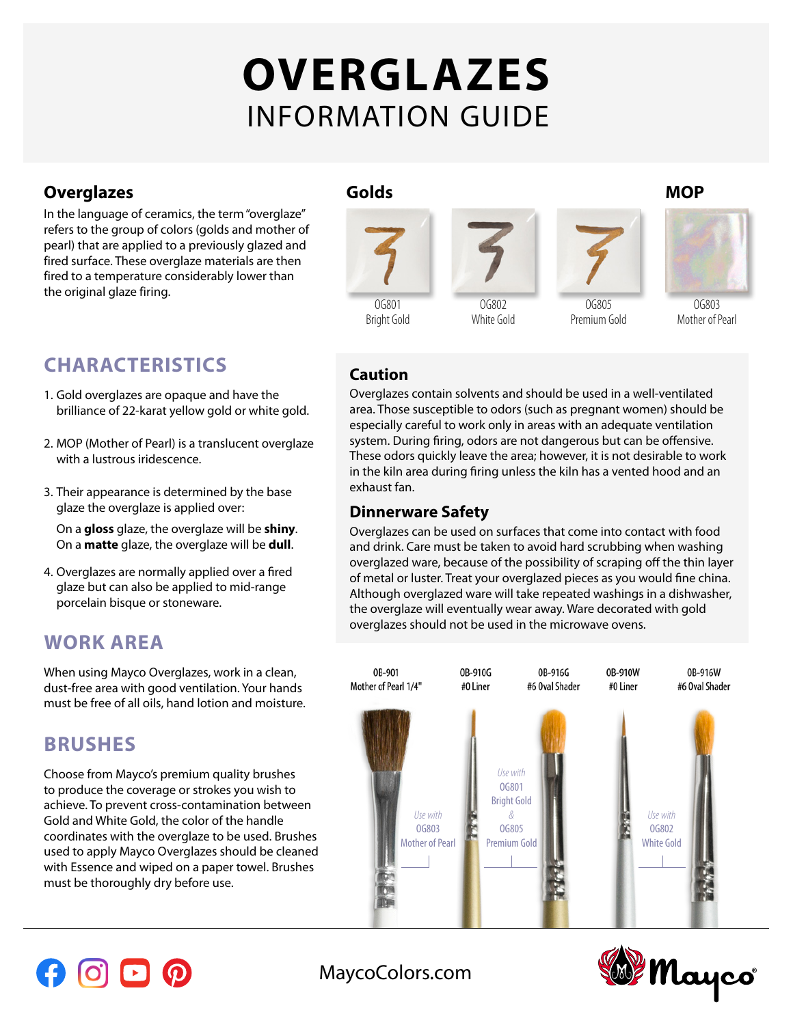# **OVERGLAZES** INFORMATION GUIDE

## **Overglazes MOP**

In the language of ceramics, the term "overglaze" refers to the group of colors (golds and mother of pearl) that are applied to a previously glazed and fired surface. These overglaze materials are then fired to a temperature considerably lower than the original glaze firing.

# **CHARACTERISTICS**

- 1. Gold overglazes are opaque and have the brilliance of 22-karat yellow gold or white gold.
- 2. MOP (Mother of Pearl) is a translucent overglaze with a lustrous iridescence.
- 3. Their appearance is determined by the base glaze the overglaze is applied over:

On a **gloss** glaze, the overglaze will be **shiny**. On a **matte** glaze, the overglaze will be **dull**.

4. Overglazes are normally applied over a fired glaze but can also be applied to mid-range porcelain bisque or stoneware.

# **WORK AREA**

When using Mayco Overglazes, work in a clean, dust-free area with good ventilation. Your hands must be free of all oils, hand lotion and moisture.

# **BRUSHES**

Choose from Mayco's premium quality brushes to produce the coverage or strokes you wish to achieve. To prevent cross-contamination between Gold and White Gold, the color of the handle coordinates with the overglaze to be used. Brushes used to apply Mayco Overglazes should be cleaned with Essence and wiped on a paper towel. Brushes must be thoroughly dry before use.



### **Caution**

Overglazes contain solvents and should be used in a well-ventilated area. Those susceptible to odors (such as pregnant women) should be especially careful to work only in areas with an adequate ventilation system. During firing, odors are not dangerous but can be offensive. These odors quickly leave the area; however, it is not desirable to work in the kiln area during firing unless the kiln has a vented hood and an exhaust fan.

#### **Dinnerware Safety**

Overglazes can be used on surfaces that come into contact with food and drink. Care must be taken to avoid hard scrubbing when washing overglazed ware, because of the possibility of scraping off the thin layer of metal or luster. Treat your overglazed pieces as you would fine china. Although overglazed ware will take repeated washings in a dishwasher, the overglaze will eventually wear away. Ware decorated with gold overglazes should not be used in the microwave ovens.







[MaycoColors.com](http://maycocolors.com)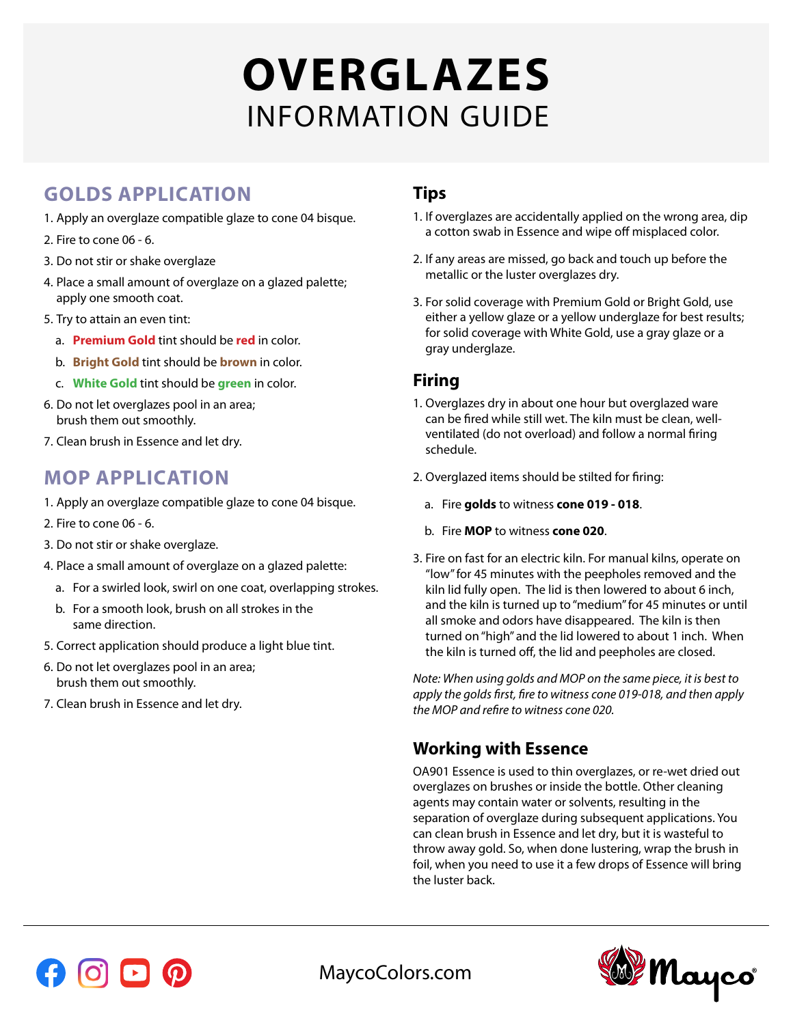# **OVERGLAZES** INFORMATION GUIDE

# **GOLDS APPLICATION**

- 1. Apply an overglaze compatible glaze to cone 04 bisque.
- 2. Fire to cone 06 6.
- 3. Do not stir or shake overglaze
- 4. Place a small amount of overglaze on a glazed palette; apply one smooth coat.
- 5. Try to attain an even tint:
	- a. **Premium Gold** tint should be **red** in color.
	- b. **Bright Gold** tint should be **brown** in color.
	- c. **White Gold** tint should be **green** in color.
- 6. Do not let overglazes pool in an area; brush them out smoothly.
- 7. Clean brush in Essence and let dry.

# **MOP APPLICATION**

- 1. Apply an overglaze compatible glaze to cone 04 bisque.
- 2. Fire to cone 06 6.
- 3. Do not stir or shake overglaze.
- 4. Place a small amount of overglaze on a glazed palette:
	- a. For a swirled look, swirl on one coat, overlapping strokes.
	- b. For a smooth look, brush on all strokes in the same direction.
- 5. Correct application should produce a light blue tint.
- 6. Do not let overglazes pool in an area; brush them out smoothly.
- 7. Clean brush in Essence and let dry.

## **Tips**

- 1. If overglazes are accidentally applied on the wrong area, dip a cotton swab in Essence and wipe off misplaced color.
- 2. If any areas are missed, go back and touch up before the metallic or the luster overglazes dry.
- 3. For solid coverage with Premium Gold or Bright Gold, use either a yellow glaze or a yellow underglaze for best results; for solid coverage with White Gold, use a gray glaze or a gray underglaze.

#### **Firing**

- 1. Overglazes dry in about one hour but overglazed ware can be fired while still wet. The kiln must be clean, wellventilated (do not overload) and follow a normal firing schedule.
- 2. Overglazed items should be stilted for firing:
	- a. Fire **golds** to witness **cone 019 018**.
	- b. Fire **MOP** to witness **cone 020**.
- 3. Fire on fast for an electric kiln. For manual kilns, operate on "low" for 45 minutes with the peepholes removed and the kiln lid fully open. The lid is then lowered to about 6 inch, and the kiln is turned up to "medium" for 45 minutes or until all smoke and odors have disappeared. The kiln is then turned on "high" and the lid lowered to about 1 inch. When the kiln is turned off, the lid and peepholes are closed.

*Note: When using golds and MOP on the same piece, it is best to apply the golds first, fire to witness cone 019-018, and then apply the MOP and refire to witness cone 020.*

# **Working with Essence**

OA901 Essence is used to thin overglazes, or re-wet dried out overglazes on brushes or inside the bottle. Other cleaning agents may contain water or solvents, resulting in the separation of overglaze during subsequent applications. You can clean brush in Essence and let dry, but it is wasteful to throw away gold. So, when done lustering, wrap the brush in foil, when you need to use it a few drops of Essence will bring the luster back.